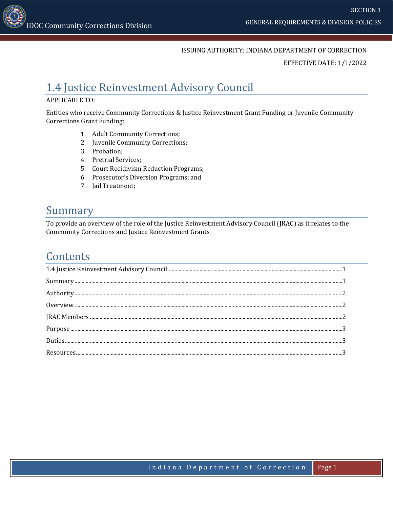#### ISSUING AUTHORITY: INDIANA DEPARTMENT OF CORRECTION

EFFECTIVE DATE: 1/1/2022

# <span id="page-0-0"></span>1.4 Justice Reinvestment Advisory Council

#### APPLICABLE TO:

Entities who receive Community Corrections & Justice Reinvestment Grant Funding or Juvenile Community Corrections Grant Funding:

- 1. Adult Community Corrections;
- 2. Juvenile Community Corrections;
- 3. Probation;
- 4. Pretrial Services;
- 5. Court Recidivism Reduction Programs;
- 6. Prosecutor's Diversion Programs; and
- 7. Jail Treatment;

#### <span id="page-0-1"></span>Summary

To provide an overview of the role of the Justice Reinvestment Advisory Council (JRAC) as it relates to the Community Corrections and Justice Reinvestment Grants.

#### **Contents**

| $\textbf{Summary} \textit{} \textit{} \textit{} \textit{} \textit{} \textit{} \textit{} \textit{} \textit{} \textit{} \textit{} \textit{} \textit{} \textit{} \textit{} \textit{} \textit{} \textit{} \textit{} \textit{} \textit{} \textit{} \textit{} \textit{} \textit{} \textit{} \textit{} \textit{} \textit{} \textit{} \textit{} \textit{} \textit{} \textit{} \textit{} \textit{$ |  |
|-------------------------------------------------------------------------------------------------------------------------------------------------------------------------------------------------------------------------------------------------------------------------------------------------------------------------------------------------------------------------------------------|--|
|                                                                                                                                                                                                                                                                                                                                                                                           |  |
|                                                                                                                                                                                                                                                                                                                                                                                           |  |
|                                                                                                                                                                                                                                                                                                                                                                                           |  |
|                                                                                                                                                                                                                                                                                                                                                                                           |  |
|                                                                                                                                                                                                                                                                                                                                                                                           |  |
|                                                                                                                                                                                                                                                                                                                                                                                           |  |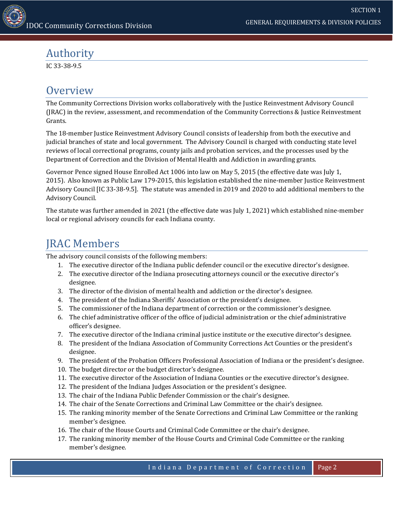## <span id="page-1-0"></span>Authority

IC 33-38-9.5

## <span id="page-1-1"></span>**Overview**

The Community Corrections Division works collaboratively with the Justice Reinvestment Advisory Council (JRAC) in the review, assessment, and recommendation of the Community Corrections & Justice Reinvestment Grants.

The 18-member Justice Reinvestment Advisory Council consists of leadership from both the executive and judicial branches of state and local government. The Advisory Council is charged with conducting state level reviews of local correctional programs, county jails and probation services, and the processes used by the Department of Correction and the Division of Mental Health and Addiction in awarding grants.

Governor Pence signed House Enrolled Act 1006 into law on May 5, 2015 (the effective date was July 1, 2015). Also known as Public Law 179-2015, this legislation established the nine-member Justice Reinvestment Advisory Council [IC 33-38-9.5]. The statute was amended in 2019 and 2020 to add additional members to the Advisory Council.

The statute was further amended in 2021 (the effective date was July 1, 2021) which established nine-member local or regional advisory councils for each Indiana county.

# <span id="page-1-2"></span>JRAC Members

The advisory council consists of the following members:

- 1. The executive director of the Indiana public defender council or the executive director's designee.
- 2. The executive director of the Indiana prosecuting attorneys council or the executive director's designee.
- 3. The director of the division of mental health and addiction or the director's designee.
- 4. The president of the Indiana Sheriffs' Association or the president's designee.
- 5. The commissioner of the Indiana department of correction or the commissioner's designee.
- 6. The chief administrative officer of the office of judicial administration or the chief administrative officer's designee.
- 7. The executive director of the Indiana criminal justice institute or the executive director's designee.
- 8. The president of the Indiana Association of Community Corrections Act Counties or the president's designee.
- 9. The president of the Probation Officers Professional Association of Indiana or the president's designee.
- 10. The budget director or the budget director's designee.
- 11. The executive director of the Association of Indiana Counties or the executive director's designee.
- 12. The president of the Indiana Judges Association or the president's designee.
- 13. The chair of the Indiana Public Defender Commission or the chair's designee.
- 14. The chair of the Senate Corrections and Criminal Law Committee or the chair's designee.
- 15. The ranking minority member of the Senate Corrections and Criminal Law Committee or the ranking member's designee.
- 16. The chair of the House Courts and Criminal Code Committee or the chair's designee.
- 17. The ranking minority member of the House Courts and Criminal Code Committee or the ranking member's designee.